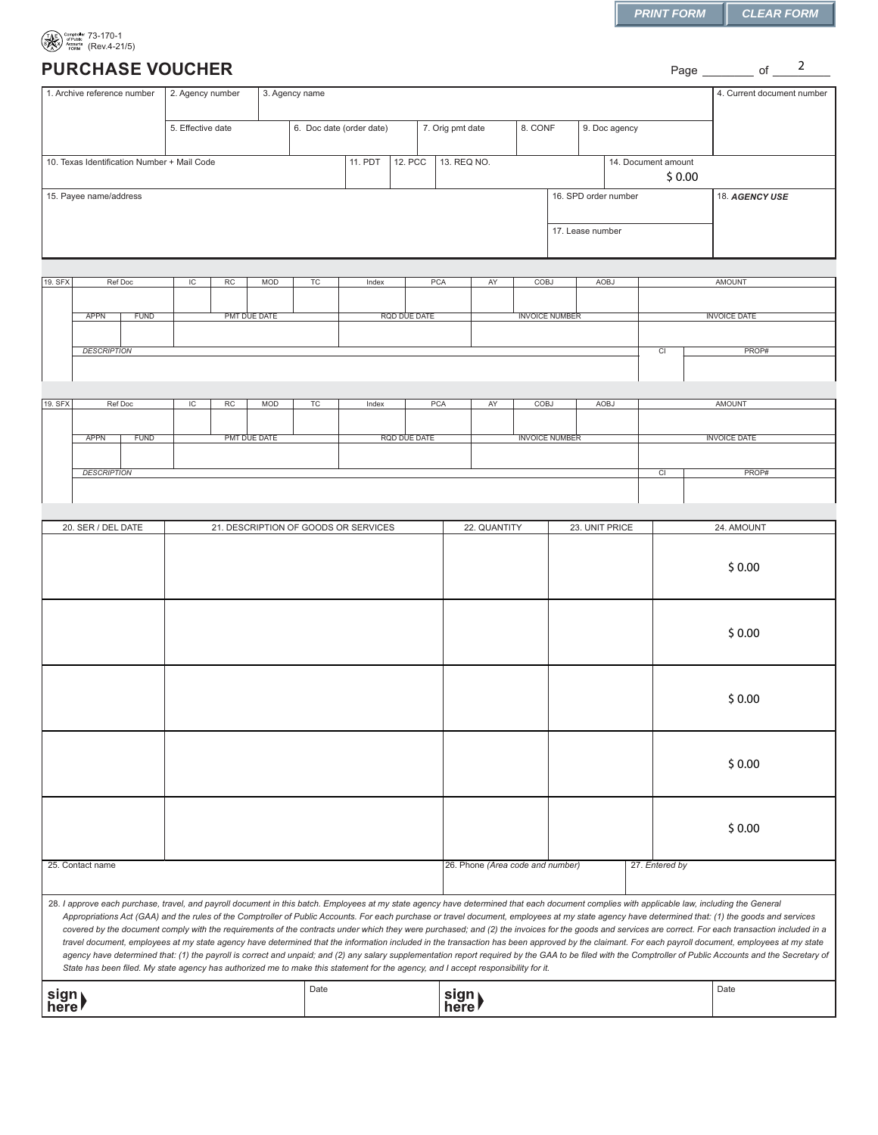Page \_\_\_\_\_\_\_\_ of \_\_\_\_<sup>2</sup>

| $\left(\begin{matrix}\n\mathbf{1}_{\text{A}} & \mathbf{1}_{\text{C}^\text{1}} \\ \mathbf{1}_{\text{A}} & \mathbf{1}_{\text{A}} \\ \mathbf{1}_{\text{A}} & \mathbf{1}_{\text{A}} \\ \mathbf{1}_{\text{B}} & \mathbf{1}_{\text{B}} \\ \mathbf{1}_{\text{B}} & \mathbf{1}_{\text{B}} \\ \mathbf{1}_{\text{B}} & \mathbf{1}_{\text{B}} \\ \mathbf{1}_{\text{B}} & \mathbf{1}_{\text{B}} \\ \mathbf{1}_{\text{B}} & \mathbf{1}_{\text{B}}\n\end{matrix}\right) \times \mathbf{I$ |
|-----------------------------------------------------------------------------------------------------------------------------------------------------------------------------------------------------------------------------------------------------------------------------------------------------------------------------------------------------------------------------------------------------------------------------------------------------------------------------|

## **PURCHASE VOUCHER**

|                                             | 1. Archive reference number                                                                                                                                                                                                                                                                                                                                                                                                                                                                                                                                                                                                                                                                                                                                                                                                                                                                                                                                                                                                                                                                                                                                           | 3. Agency name                                                                                |                                      |              |    |         |                |     |               |                                  |      | 4. Current document number |                      |                               |                 |                     |  |
|---------------------------------------------|-----------------------------------------------------------------------------------------------------------------------------------------------------------------------------------------------------------------------------------------------------------------------------------------------------------------------------------------------------------------------------------------------------------------------------------------------------------------------------------------------------------------------------------------------------------------------------------------------------------------------------------------------------------------------------------------------------------------------------------------------------------------------------------------------------------------------------------------------------------------------------------------------------------------------------------------------------------------------------------------------------------------------------------------------------------------------------------------------------------------------------------------------------------------------|-----------------------------------------------------------------------------------------------|--------------------------------------|--------------|----|---------|----------------|-----|---------------|----------------------------------|------|----------------------------|----------------------|-------------------------------|-----------------|---------------------|--|
|                                             |                                                                                                                                                                                                                                                                                                                                                                                                                                                                                                                                                                                                                                                                                                                                                                                                                                                                                                                                                                                                                                                                                                                                                                       | 5. Effective date<br>6. Doc date (order date)<br>7. Orig pmt date<br>8. CONF<br>9. Doc agency |                                      |              |    |         |                |     |               |                                  |      |                            |                      |                               |                 |                     |  |
| 10. Texas Identification Number + Mail Code |                                                                                                                                                                                                                                                                                                                                                                                                                                                                                                                                                                                                                                                                                                                                                                                                                                                                                                                                                                                                                                                                                                                                                                       |                                                                                               |                                      |              |    | 11. PDT | <b>12. PCC</b> |     | 13. REQ NO.   |                                  |      |                            |                      | 14. Document amount<br>\$0.00 |                 |                     |  |
| 15. Payee name/address                      |                                                                                                                                                                                                                                                                                                                                                                                                                                                                                                                                                                                                                                                                                                                                                                                                                                                                                                                                                                                                                                                                                                                                                                       |                                                                                               |                                      |              |    |         |                |     |               |                                  |      |                            | 16. SPD order number |                               |                 | 18. AGENCY USE      |  |
|                                             |                                                                                                                                                                                                                                                                                                                                                                                                                                                                                                                                                                                                                                                                                                                                                                                                                                                                                                                                                                                                                                                                                                                                                                       |                                                                                               |                                      |              |    |         |                |     |               |                                  |      |                            | 17. Lease number     |                               |                 |                     |  |
| 19. SFX                                     | Ref Doc                                                                                                                                                                                                                                                                                                                                                                                                                                                                                                                                                                                                                                                                                                                                                                                                                                                                                                                                                                                                                                                                                                                                                               | IC                                                                                            | RC                                   | <b>MOD</b>   | TC | Index   |                | PCA |               | AY                               | COBJ |                            | <b>AOBJ</b>          |                               |                 | <b>AMOUNT</b>       |  |
|                                             | <b>FUND</b><br><b>APPN</b>                                                                                                                                                                                                                                                                                                                                                                                                                                                                                                                                                                                                                                                                                                                                                                                                                                                                                                                                                                                                                                                                                                                                            |                                                                                               |                                      | PMT DUE DATE |    |         | RQD DUE DATE   |     |               |                                  |      | <b>INVOICE NUMBER</b>      |                      |                               |                 | <b>INVOICE DATE</b> |  |
|                                             | <b>DESCRIPTION</b>                                                                                                                                                                                                                                                                                                                                                                                                                                                                                                                                                                                                                                                                                                                                                                                                                                                                                                                                                                                                                                                                                                                                                    |                                                                                               |                                      |              |    |         |                |     |               |                                  |      |                            |                      |                               | $\overline{CI}$ | PROP#               |  |
|                                             |                                                                                                                                                                                                                                                                                                                                                                                                                                                                                                                                                                                                                                                                                                                                                                                                                                                                                                                                                                                                                                                                                                                                                                       |                                                                                               |                                      |              |    |         |                |     |               |                                  |      |                            |                      |                               |                 |                     |  |
| 19. SFX                                     | Ref Doc                                                                                                                                                                                                                                                                                                                                                                                                                                                                                                                                                                                                                                                                                                                                                                                                                                                                                                                                                                                                                                                                                                                                                               | IC                                                                                            | RC                                   | <b>MOD</b>   | TC | Index   |                | PCA |               | AY                               | COBJ |                            | AOBJ                 |                               |                 | <b>AMOUNT</b>       |  |
|                                             | <b>APPN</b><br><b>FUND</b>                                                                                                                                                                                                                                                                                                                                                                                                                                                                                                                                                                                                                                                                                                                                                                                                                                                                                                                                                                                                                                                                                                                                            |                                                                                               |                                      | PMT DUE DATE |    |         | RQD DUE DATE   |     |               |                                  |      | <b>INVOICE NUMBER</b>      |                      |                               |                 | <b>INVOICE DATE</b> |  |
|                                             | <b>DESCRIPTION</b>                                                                                                                                                                                                                                                                                                                                                                                                                                                                                                                                                                                                                                                                                                                                                                                                                                                                                                                                                                                                                                                                                                                                                    |                                                                                               |                                      |              |    |         |                |     |               |                                  |      |                            |                      |                               | PROP#<br>CI     |                     |  |
|                                             |                                                                                                                                                                                                                                                                                                                                                                                                                                                                                                                                                                                                                                                                                                                                                                                                                                                                                                                                                                                                                                                                                                                                                                       |                                                                                               |                                      |              |    |         |                |     |               |                                  |      |                            |                      |                               |                 |                     |  |
|                                             | 20. SER / DEL DATE                                                                                                                                                                                                                                                                                                                                                                                                                                                                                                                                                                                                                                                                                                                                                                                                                                                                                                                                                                                                                                                                                                                                                    |                                                                                               | 21. DESCRIPTION OF GOODS OR SERVICES |              |    |         | 22. QUANTITY   |     |               | 23. UNIT PRICE                   |      |                            | 24. AMOUNT           |                               |                 |                     |  |
|                                             |                                                                                                                                                                                                                                                                                                                                                                                                                                                                                                                                                                                                                                                                                                                                                                                                                                                                                                                                                                                                                                                                                                                                                                       |                                                                                               |                                      |              |    |         |                |     |               |                                  |      |                            |                      |                               | \$0.00          |                     |  |
|                                             |                                                                                                                                                                                                                                                                                                                                                                                                                                                                                                                                                                                                                                                                                                                                                                                                                                                                                                                                                                                                                                                                                                                                                                       |                                                                                               |                                      |              |    |         |                |     |               |                                  |      |                            |                      |                               |                 | \$0.00              |  |
|                                             |                                                                                                                                                                                                                                                                                                                                                                                                                                                                                                                                                                                                                                                                                                                                                                                                                                                                                                                                                                                                                                                                                                                                                                       |                                                                                               |                                      |              |    |         |                |     |               |                                  |      |                            |                      |                               |                 | \$0.00              |  |
|                                             |                                                                                                                                                                                                                                                                                                                                                                                                                                                                                                                                                                                                                                                                                                                                                                                                                                                                                                                                                                                                                                                                                                                                                                       |                                                                                               |                                      |              |    |         |                |     |               |                                  |      |                            |                      |                               | \$0.00          |                     |  |
|                                             |                                                                                                                                                                                                                                                                                                                                                                                                                                                                                                                                                                                                                                                                                                                                                                                                                                                                                                                                                                                                                                                                                                                                                                       |                                                                                               |                                      |              |    |         |                |     |               |                                  |      |                            |                      |                               |                 | \$0.00              |  |
| 25. Contact name                            |                                                                                                                                                                                                                                                                                                                                                                                                                                                                                                                                                                                                                                                                                                                                                                                                                                                                                                                                                                                                                                                                                                                                                                       |                                                                                               |                                      |              |    |         |                |     |               | 26. Phone (Area code and number) |      |                            |                      | 27. Entered by                |                 |                     |  |
|                                             | 28. I approve each purchase, travel, and payroll document in this batch. Employees at my state agency have determined that each document complies with applicable law, including the General<br>Appropriations Act (GAA) and the rules of the Comptroller of Public Accounts. For each purchase or travel document, employees at my state agency have determined that: (1) the goods and services<br>covered by the document comply with the requirements of the contracts under which they were purchased; and (2) the invoices for the goods and services are correct. For each transaction included in a<br>travel document, employees at my state agency have determined that the information included in the transaction has been approved by the claimant. For each payroll document, employees at my state<br>agency have determined that: (1) the payroll is correct and unpaid; and (2) any salary supplementation report required by the GAA to be filed with the Comptroller of Public Accounts and the Secretary of<br>State has been filed. My state agency has authorized me to make this statement for the agency, and I accept responsibility for it. |                                                                                               |                                      |              |    |         |                |     |               |                                  |      |                            |                      |                               |                 |                     |  |
| sign)<br>here                               |                                                                                                                                                                                                                                                                                                                                                                                                                                                                                                                                                                                                                                                                                                                                                                                                                                                                                                                                                                                                                                                                                                                                                                       |                                                                                               |                                      |              |    |         |                |     | sign)<br>here |                                  |      |                            |                      |                               |                 | Date                |  |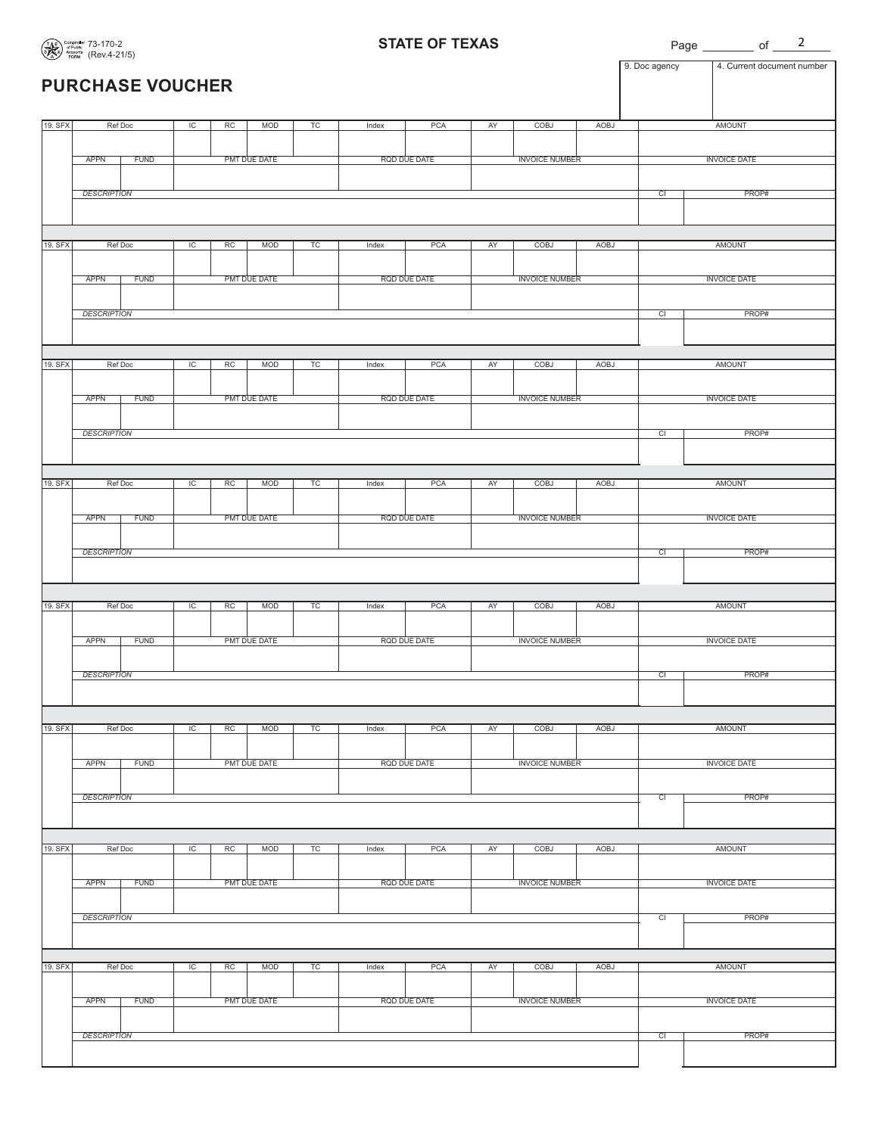**STATE OF TEXAS**

Page of  $\frac{2}{\sqrt{2}}$ 

|         | $\sum$ FORM $(1101.721)$   |                |       |              |    |       |              |    |                       |      | 9. Doc agency   | 4. Current document number |
|---------|----------------------------|----------------|-------|--------------|----|-------|--------------|----|-----------------------|------|-----------------|----------------------------|
|         | <b>PURCHASE VOUCHER</b>    |                |       |              |    |       |              |    |                       |      |                 |                            |
| 19. SFX | Ref Doc                    | $\overline{C}$ | RC    | <b>MOD</b>   | TC | Index | PCA          | AY | COBJ                  | AOBJ |                 | <b>AMOUNT</b>              |
|         |                            |                |       |              |    |       |              |    |                       |      |                 |                            |
|         | APPN<br><b>FUND</b>        |                |       | PMT DUE DATE |    |       | RQD DUE DATE |    | <b>INVOICE NUMBER</b> |      |                 | <b>INVOICE DATE</b>        |
|         |                            |                |       |              |    |       |              |    |                       |      |                 |                            |
|         | <b>DESCRIPTION</b>         |                |       |              |    |       |              |    |                       |      | $\overline{c}$  | PROP#                      |
|         |                            |                |       |              |    |       |              |    |                       |      |                 |                            |
| 19. SFX | Ref Doc                    | IC             | RC    | <b>MOD</b>   | TC | Index | PCA          | AY | COBJ                  | AOBJ |                 | <b>AMOUNT</b>              |
|         |                            |                |       |              |    |       |              |    |                       |      |                 |                            |
|         | <b>FUND</b>                |                |       | PMT DUE DATE |    |       | RQD DUE DATE |    | <b>INVOICE NUMBER</b> |      |                 |                            |
|         | <b>APPN</b>                |                |       |              |    |       |              |    |                       |      |                 | <b>INVOICE DATE</b>        |
|         |                            |                |       |              |    |       |              |    |                       |      |                 |                            |
|         | <b>DESCRIPTION</b>         | CI             | PROP# |              |    |       |              |    |                       |      |                 |                            |
|         |                            |                |       |              |    |       |              |    |                       |      |                 |                            |
|         |                            |                |       |              |    |       |              |    |                       |      |                 |                            |
| 19. SFX | Ref Doc                    | $\overline{C}$ | RC    | <b>MOD</b>   | TC | Index | PCA          | AY | COBJ                  | AOBJ |                 | <b>AMOUNT</b>              |
|         |                            |                |       |              |    |       |              |    |                       |      |                 |                            |
|         | <b>APPN</b><br><b>FUND</b> |                |       | PMT DUE DATE |    |       | RQD DUE DATE |    | <b>INVOICE NUMBER</b> |      |                 | <b>INVOICE DATE</b>        |
|         |                            |                |       |              |    |       |              |    |                       |      |                 |                            |
|         | <b>DESCRIPTION</b>         |                |       |              |    |       |              |    |                       |      | $\overline{c}$  | PROP#                      |
|         |                            |                |       |              |    |       |              |    |                       |      |                 |                            |
|         |                            |                |       |              |    |       |              |    |                       |      |                 |                            |
| 19. SFX | Ref Doc                    | IC             | RC    | <b>MOD</b>   | TC | Index | PCA          | AY | <b>COBJ</b>           | AOBJ |                 | <b>AMOUNT</b>              |
|         |                            |                |       |              |    |       |              |    |                       |      |                 |                            |
|         | <b>FUND</b><br><b>APPN</b> |                |       | PMT DUE DATE |    |       | RQD DUE DATE |    | <b>INVOICE NUMBER</b> |      |                 | <b>INVOICE DATE</b>        |
|         |                            |                |       |              |    |       |              |    |                       |      |                 |                            |
|         | <b>DESCRIPTION</b>         |                |       |              |    |       |              |    |                       |      | $\overline{CI}$ | PROP#                      |
|         |                            |                |       |              |    |       |              |    |                       |      |                 |                            |
|         |                            |                |       |              |    |       |              |    |                       |      |                 |                            |
| 19. SFX | Ref Doc                    | IC             | RC    | <b>MOD</b>   | TC | Index | PCA          | AY | <b>COBJ</b>           | AOBJ |                 | <b>AMOUNT</b>              |
|         |                            |                |       |              |    |       |              |    |                       |      |                 |                            |
|         | <b>FUND</b><br><b>APPN</b> |                |       | PMT DUE DATE |    |       | RQD DUE DATE |    | <b>INVOICE NUMBER</b> |      |                 | <b>INVOICE DATE</b>        |
|         |                            |                |       |              |    |       |              |    |                       |      |                 |                            |
|         | <b>DESCRIPTION</b>         |                |       |              |    |       |              |    |                       |      | $\overline{CI}$ | PROP#                      |
|         |                            |                |       |              |    |       |              |    |                       |      |                 |                            |
|         |                            |                |       |              |    |       |              |    |                       |      |                 |                            |
| 19. SFX | Ref Doc                    | IC             | RC    | <b>MOD</b>   | TC | Index | PCA          | AY | <b>COBJ</b>           | AOBJ |                 | <b>AMOUNT</b>              |
|         |                            |                |       |              |    |       |              |    |                       |      |                 |                            |
|         | <b>FUND</b><br>APPN        |                |       | PMT DUE DATE |    |       | RQD DUE DATE |    | <b>INVOICE NUMBER</b> |      |                 | <b>INVOICE DATE</b>        |
|         |                            |                |       |              |    |       |              |    |                       |      |                 |                            |
|         | <b>DESCRIPTION</b>         |                |       |              |    |       |              |    |                       |      | $\overline{CI}$ | PROP#                      |
|         |                            |                |       |              |    |       |              |    |                       |      |                 |                            |
| 19. SFX | Ref Doc                    | IC             | RC    | <b>MOD</b>   | TC | Index | PCA          | AY | COBJ                  | AOBJ |                 | <b>AMOUNT</b>              |
|         |                            |                |       |              |    |       |              |    |                       |      |                 |                            |
|         | <b>APPN</b><br><b>FUND</b> |                |       | PMT DUE DATE |    |       | RQD DUE DATE |    | <b>INVOICE NUMBER</b> |      |                 | <b>INVOICE DATE</b>        |
|         |                            |                |       |              |    |       |              |    |                       |      |                 |                            |
|         | <b>DESCRIPTION</b>         |                |       |              |    |       |              |    |                       |      | CI              | PROP#                      |
|         |                            |                |       |              |    |       |              |    |                       |      |                 |                            |
|         |                            |                |       |              |    |       |              |    |                       |      |                 |                            |
| 19. SFX | Ref Doc                    | $\overline{C}$ | RC    | <b>MOD</b>   | TC | Index | PCA          | AY | COBJ                  | AOBJ |                 | <b>AMOUNT</b>              |
|         |                            |                |       |              |    |       |              |    |                       |      |                 |                            |
|         | <b>APPN</b><br><b>FUND</b> |                |       | PMT DUE DATE |    |       | RQD DUE DATE |    | <b>INVOICE NUMBER</b> |      |                 | <b>INVOICE DATE</b>        |
|         |                            |                |       |              |    |       |              |    |                       |      |                 |                            |
|         | <b>DESCRIPTION</b>         |                |       |              |    |       |              |    |                       |      | CI              | PROP#                      |
|         |                            |                |       |              |    |       |              |    |                       |      |                 |                            |
|         |                            |                |       |              |    |       |              |    |                       |      |                 |                            |